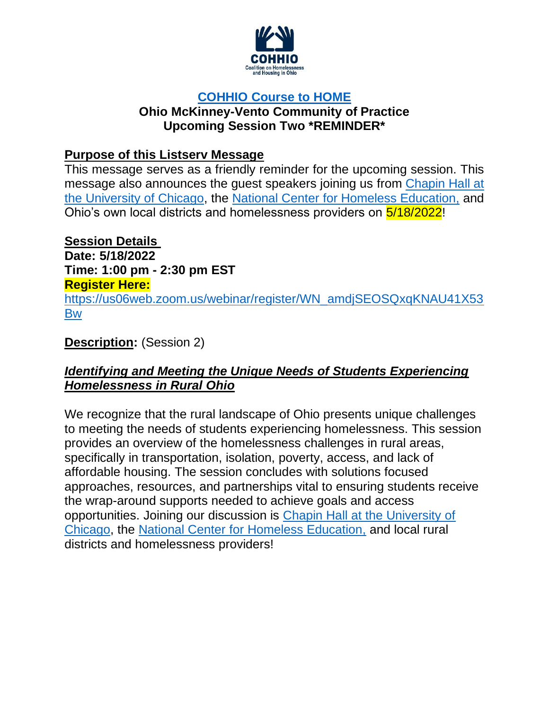

# **[COHHIO Course to HOME](https://cohhio.org/homelesseducation/)**

### **Ohio McKinney-Vento Community of Practice Upcoming Session Two \*REMINDER\***

## **Purpose of this Listserv Message**

This message serves as a friendly reminder for the upcoming session. This message also announces the guest speakers joining us from [Chapin Hall at](https://www.chapinhall.org/)  [the University of Chicago,](https://www.chapinhall.org/) the [National Center for Homeless Education,](https://nche.ed.gov/) and Ohio's own local districts and homelessness providers on 5/18/2022!

**Session Details**

**Date: 5/18/2022 Time: 1:00 pm - 2:30 pm EST Register Here:** [https://us06web.zoom.us/webinar/register/WN\\_amdjSEOSQxqKNAU41X53](https://us06web.zoom.us/webinar/register/WN_amdjSEOSQxqKNAU41X53Bw) [Bw](https://us06web.zoom.us/webinar/register/WN_amdjSEOSQxqKNAU41X53Bw)

# **Description:** (Session 2)

## *Identifying and Meeting the Unique Needs of Students Experiencing Homelessness in Rural Ohio*

We recognize that the rural landscape of Ohio presents unique challenges to meeting the needs of students experiencing homelessness. This session provides an overview of the homelessness challenges in rural areas, specifically in transportation, isolation, poverty, access, and lack of affordable housing. The session concludes with solutions focused approaches, resources, and partnerships vital to ensuring students receive the wrap-around supports needed to achieve goals and access opportunities. Joining our discussion is [Chapin Hall at the University of](https://www.chapinhall.org/)  [Chicago,](https://www.chapinhall.org/) the [National Center for Homeless Education,](https://nche.ed.gov/) and local rural districts and homelessness providers!